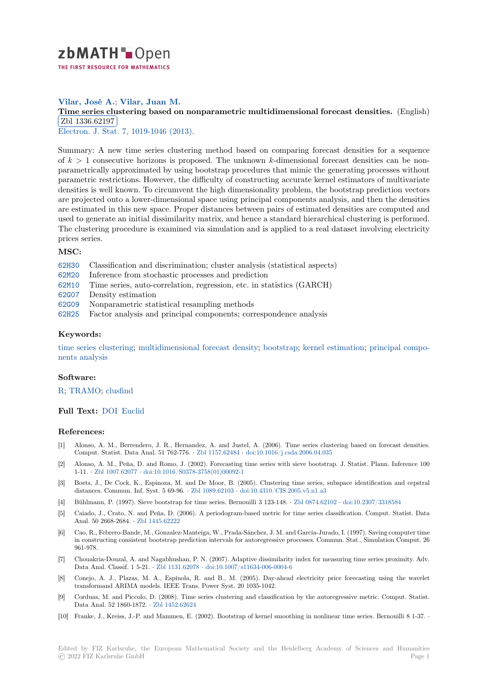

# **Vilar, José A.**; **Vilar, Juan M.**

# **[T](https://zbmath.org/)ime series clustering based on nonparametric multidimensional forecast densities.** (English) Zbl 1336.62197

Electron. J. Stat. 7, 1019-1046 (2013).

[Summary: A new time series clustering method based on comparing forecast densities for a](https://zbmath.org/1336.62197) sequence of *k >* 1 [consecut](https://zbmath.org/1336.62197)ive horizons is proposed. The unknown *k*-dimensional forecast densities can be non[parametrically ap](https://zbmath.org/journals/?q=se:6214)[proximated by using](https://zbmath.org/?q=in:318077) bootstrap procedures that mimic the generating processes without parametric restrictions. However, the difficulty of constructing accurate kernel estimators of multivariate densities is well known. To circumvent the high dimensionality problem, the bootstrap prediction vectors are projected onto a lower-dimensional space using principal components analysis, and then the densities are estimated in this new space. Proper distances between pairs of estimated densities are computed and used to generate an initial dissimilarity matrix, and hence a standard hierarchical clustering is performed. The clustering procedure is examined via simulation and is applied to a real dataset involving electricity prices series.

#### **MSC:**

- 62H30 Classification and discrimination; cluster analysis (statistical aspects)
- 62M20 Inference from stochastic processes and prediction
- 62M10 Time series, auto-correlation, regression, etc. in statistics (GARCH)
- 62G07 Density estimation
- [62G09](https://zbmath.org/classification/?q=cc:62H30) Nonparametric statistical resampling methods
- [62H25](https://zbmath.org/classification/?q=cc:62M20) Factor analysis and principal components; correspondence analysis

#### **[Keyw](https://zbmath.org/classification/?q=cc:62G07)ords:**

[time s](https://zbmath.org/classification/?q=cc:62G09)eries clustering; multidimensional forecast density; bootstrap; kernel estimation; principal compo[nents](https://zbmath.org/classification/?q=cc:62H25) analysis

#### **Software:**

### R; [TRAMO;](https://zbmath.org/?q=ut:time+series+clustering) clusfind

## **Full Text:** DOI Euclid

#### **[R](https://swmath.org/software/771)[eferences](https://swmath.org/software/24172):**

- [1] Alonso, A. M., Berrendero, J. R., Hernandez, A. and Justel, A. (2006). Time series clustering based on forecast densities. Comput. [Statis](https://dx.doi.org/10.1214/13-EJS800)t[. Data A](https://projecteuclid.org/euclid.ejs/1366031049)nal. 51 762-776. *·* Zbl 1157.62484 *·* doi:10.1016/j.csda.2006.04.035
- [2] Alonso, A. M., Peña, D. and Romo, J. (2002). Forecasting time series with sieve bootstrap. J. Statist. Plann. Inference 100 1-11. *·* Zbl 1007.62077 *·* doi:10.1016/S0378-3758(01)00092-1
- [3] Boets, J., De Cock, K., Espinoza, M. and De Moor, B. (2005). Clustering time series, subspace identification and cepstral distances. Commun. Inf. Syst. 5 69-96. *·* Z[bl 1089.62103](https://zbmath.org/1157.62484) *·* d[oi:10.4310/CIS.2005.v5.n1.a3](https://dx.doi.org/10.1016/j.csda.2006.04.035)
- [4] Bühlmann, P. (1997). Sieve bootstrap for time series. Bernouilli 3 123-148. *·* Zbl 0874.62102 *·* doi:10.2307/3318584
- [5] Caiad[o, J., Crato, N. a](https://zbmath.org/1007.62077)[nd Peña, D. \(2006\). A periodogram-](https://dx.doi.org/10.1016/S0378-3758(01)00092-1)based metric for time series classification. Comput. Statist. Data Anal. 50 2668-2684. *·* Zbl 1445.62222
- [6] Cao, R., Febrero-Bande, M., Gonzalez-M[anteiga, W., Pra](https://zbmath.org/1089.62103)d[a-Sánchez, J. M. and García-Jur](https://dx.doi.org/10.4310/CIS.2005.v5.n1.a3)ado, I. (1997). Saving computer time in constructing consistent bootstrap prediction intervals for autoregressive pr[ocesses. Commu](https://zbmath.org/0874.62102)n[. Stat., Simulation C](https://dx.doi.org/10.2307/3318584)omput. 26 961-978.
- [7] Chouakria-Douzal, A. [and Nagabhush](https://zbmath.org/1445.62222)an, P. N. (2007). Adaptive dissimilarity index for measuring time series proximity. Adv. Data Anal. Classif. 1 5-21. *·* Zbl 1131.62078 *·* doi:10.1007/s11634-006-0004-6
- [8] Conejo, A. J., Plazas, M. A., Espínola, R. and B., M. (2005). Day-ahead electricity price forecasting using the wavelet transformand ARIMA models. IEEE Trans. Power Syst. 20 1035-1042.
- [9] Corduas, M. and Piccolo, D. (2008). Time series clustering and classification by the autoregressive metric. Comput. Statist. Data Anal. 52 1860-1872. *·* [Zbl 1452.62624](https://zbmath.org/1131.62078)
- [10] Franke, J., Kreiss, J.-P. and Mammen, E. (2002). Bootstrap of kernel smoothing in nonlinear time series. Bernouilli 8 1-37. *·*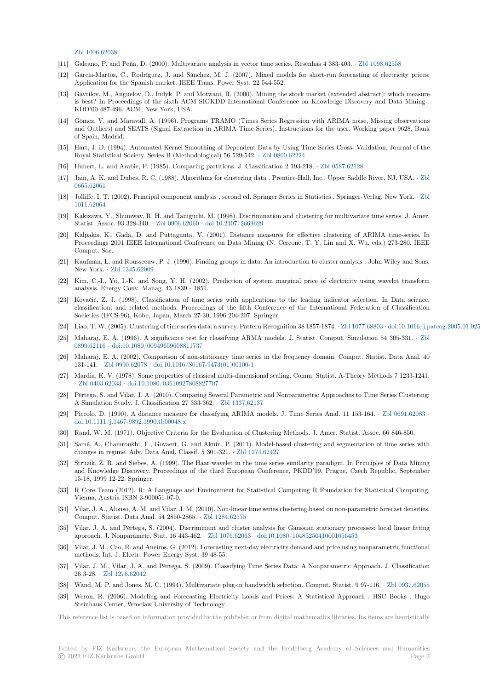Zbl 1006.62038

- [11] Galeano, P. and Peña, D. (2000). Multivariate analysis in vector time series. Resenhas 4 383-403. *·* Zbl 1098.62558
- [12] García-Martos, C., Rodríguez, J. and Sánchez, M. J. (2007). Mixed models for short-run forecasting of electricity prices: Application for the Spanish market. IEEE Trans. Power Syst. 22 544-552.
- [13] [Gavrilov, M., A](https://zbmath.org/1006.62038)nguelov, D., Indyk, P. and Motwani, R. (2000). Mining the stock market (extended abstract): which measure is best? In Proceedings of the sixth ACM SIGKDD International Conference on Knowledge Disc[overy and Data](https://zbmath.org/1098.62558) Mining . KDD'00 487-496. ACM, New York, USA.
- [14] Gómez, V. and Maravall, A. (1996). Programs TRAMO (Times Series Regression with ARIMA noise, Missing observations and Outliers) and SEATS (Signal Extraction in ARIMA Time Series). Instructions for the user. Working paper 9628, Bank of Spain, Madrid.
- [15] Hart, J. D. (1994). Automated Kernel Smoothing of Dependent Data by Using Time Series Cross- Validation. Journal of the Royal Statistical Society. Series B (Methodological) 56 529-542. *·* Zbl 0800.62224
- [16] Hubert, L. and Arabie, P. (1985). Comparing partitions. J. Classification 2 193-218. *·* Zbl 0587.62128
- [17] Jain, A. K. and Dubes, R. C. (1988). Algorithms for clustering data . Prentice-Hall, Inc., Upper Saddle River, NJ, USA. *·* Zbl 0665.62061
- [18] Jolliffe, I. T. (2002). Principal component analysis , second ed. Sp[ringer Series in S](https://zbmath.org/0800.62224)tatistics . Springer-Verlag, New York. *·* Zbl 1011.62064
- [19] Kakizawa, Y., Shumway, R. H. and Taniguchi, M. (1998). Discrimination and clustering for multivariate time series. J. A[mer.](https://zbmath.org/0665.62061) [Statist. Ass](https://zbmath.org/0665.62061)oc. 93 328-340. *·* Zbl 0906.62060 *·* doi:10.2307/2669629
- [20] Kalpakis, K., Gada, D. and Puttagunta, V. (2001). Distance measures for effective clustering of ARIMA time-series[. In](https://zbmath.org/1011.62064) [Proceeding](https://zbmath.org/1011.62064)s 2001 IEEE International Conference on Data Mining (N. Cercone, T. Y. Lin and X. Wu, eds.) 273-280. IEEE Comput. Soc.
- [21] Kaufman, L. and Rousseeuw[, P. J. \(1990\). F](https://zbmath.org/0906.62060)in[ding groups in data:](https://dx.doi.org/10.2307/2669629) An introduction to cluster analysis . John Wiley and Sons, New York. *·* Zbl 1345.62009
- [22] Kim, C.-I., Yu, I.-K. and Song, Y. H. (2002). Prediction of system marginal price of electricity using wavelet transform analysis. Energy Conv. Manag. 43 1839 - 1851.
- [23] Kovačić, Z. J. (1998). Classification of time series with applications to the leading indicator selection. In Data science, classification[, and related m](https://zbmath.org/1345.62009)ethods. Proceedings of the fifth Conference of the International Federation of Classification Societies (IFCS-96), Kobe, Japan, March 27-30, 1996 204-207. Springer.
- [24] Liao, T. W. (2005). Clustering of time series data: a survey. Pattern Recognition 38 1857-1874. *·* Zbl 1077.68803 *·* doi:10.1016/j.patcog.2005.01.025
- [25] Maharaj, E. A. (1996). A significance test for classifying ARMA models. J. Statist. Comput. Simulation 54 305-331. *·* Zbl 0899.62116 *·* doi:10.1080/00949659608811737
- [26] Maharaj, E. A. (2002). Comparison of non-stationary time series in the frequency domain. Comput. Statist. Data Anal. 40 131-141. *·* Zbl 0990.62078 *·* doi:10.1016/S0167-9473(01)00100-1
- [27] Mardia, K. V. (1978). Some properties of classical multi-dimensional scaling. Comm. Statist. A-Theory Methods 7 1233-1[241.](https://zbmath.org/0899.62116) *·* [Zbl 0403.6](https://zbmath.org/0899.62116)2033 *·* [doi:10.1080/0361092780882](https://dx.doi.org/10.1080/00949659608811737)7707
- [28] Pértega, S. and Vilar, J. A. (2010). Comparing Several Parametric and Nonparametric Approaches to Time Series Clustering: A Simulat[ion Study. J. Cl](https://zbmath.org/0990.62078)a[ssification 27 333-362.](https://dx.doi.org/10.1016/S0167-9473(01)00100-1) *·* Zbl 1337.62137
- [29] Piccolo, D. (1990). A distance measure for classifying ARIMA models. J. Time Series Anal. 11 153-164. *·* Zbl 0691.62083 *·* d[oi:10.1111/j.146](https://zbmath.org/0403.62033)7[-9892.1990.tb00048.x](https://dx.doi.org/10.1080/03610927808827707)
- [30] Rand, W. M. (1971). Objective Criteria for the Evaluation of Clustering Methods. J. Amer. Statist. Assoc. 66 846-850.
- [31] Samé, A., Chamroukhi, F., Govaert, G. and Akni[n, P. \(2011\). Mo](https://zbmath.org/1337.62137)del-based clustering and segmentation of time series with changes in regime. Adv. Data Anal. Classif. 5 301-321. *·* Zbl 1274.62427
- [32] [Struzik, Z. R. and Siebes, A. \(1999\). T](https://dx.doi.org/10.1111/j.1467-9892.1990.tb00048.x)he Haar wavelet in the time series similarity paradigm. In Principles of Data Mining and Knowledge Discovery. Proceedings of the third European Conference, PKDD'99, Prague, Czech Republic, September 15-18, 1999 12-22. Springer.
- [33] R Core Team (2012). R: A Language and Environment [for Statistical C](https://zbmath.org/1274.62427)omputing R Foundation for Statistical Computing, Vienna, Austria ISBN 3-900051-07-0.
- [34] Vilar, J. A., Alonso, A. M. and Vilar, J. M. (2010). Non-linear time series clustering based on non-parametric forecast densities. Comput. Statist. Data Anal. 54 2850-2865. *·* Zbl 1284.62575
- [35] Vilar, J. A. and Pértega, S. (2004). Discriminant and cluster analysis for Gaussian stationary processes: local linear fitting approach. J. Nonparametr. Stat. 16 443-462. *·* Zbl 1076.62063 *·* doi:10.1080/10485250410001656453
- [36] Vilar, J. M., Cao, R. and Aneiros, G. (2012). Forecasting next-day electricity demand and price using nonparametric functional methods. Int. J. Electr. Power Energy Syst. [39 48-55.](https://zbmath.org/1284.62575)
- [37] Vilar, J. M., Vilar, J. A. and Pértega, S. (2009). Classifying Time Series Data: A Nonparametric Approach. J. Classification 26 3-28. *·* Zbl 1276.62042
- [38] Wand, M. P. and Jones, M. C. (1994). Multivariate plug-in bandwidth selection. Comput. Statist. 9 97-116. *·* Zbl 0937.62055
- [39] Weron, R. (2006). Modeling and Forecasting Electricity Loads and Prices: A Statistical Approach . HSC Books . Hugo Steinhaus Center, Wroclaw University of Technology.

This referenceli[st is based on in](https://zbmath.org/1276.62042)formation provided by the publisher or from digital mathematics libraries. Its items are heuristically